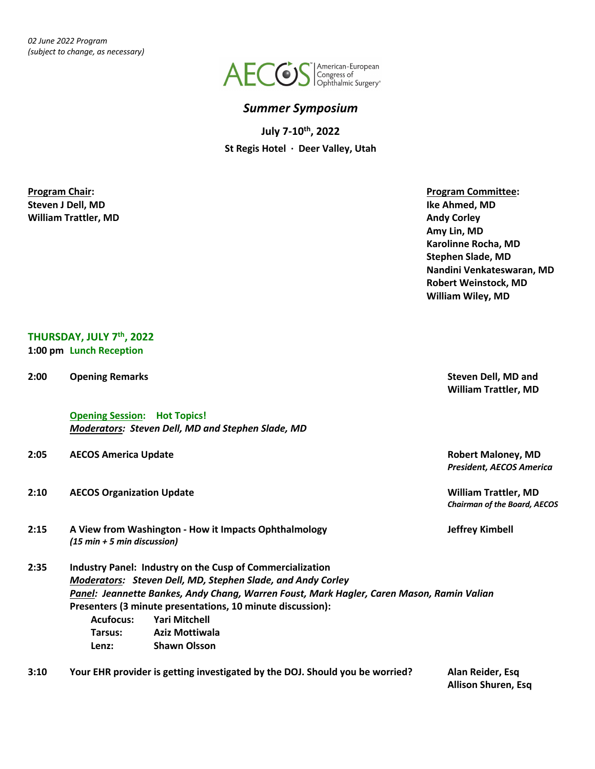*02 June 2022 Program (subject to change, as necessary)*



#### *Summer Symposium*

**July 7-10th, 2022 St Regis Hotel · Deer Valley, Utah**

**Steven J Dell, MD Ike Ahmed, MD Milliam Trattler, MD Andy Corley Andy Corley Andy Corley Andy Corley Andy Corley** 

**Program Chair: Program Committee: Amy Lin, MD Karolinne Rocha, MD Stephen Slade, MD Nandini Venkateswaran, MD Robert Weinstock, MD William Wiley, MD**

#### **THURSDAY, JULY 7th, 2022 1:00 pm Lunch Reception**

**Opening Session: Hot Topics!** *Moderators: Steven Dell, MD and Stephen Slade, MD*

- **2:05 AECOS America Update Robert Maloney, MD**
- **2:10 AECOS Organization Update William Trattler, MD**
- **2:15 A View from Washington - How it Impacts Ophthalmology Jeffrey Kimbell** *(15 min + 5 min discussion)*
- **2:35 Industry Panel: Industry on the Cusp of Commercialization** *Moderators: Steven Dell, MD, Stephen Slade, and Andy Corley Panel: Jeannette Bankes, Andy Chang, Warren Foust, Mark Hagler, Caren Mason, Ramin Valian* **Presenters (3 minute presentations, 10 minute discussion): Acufocus: Yari Mitchell Tarsus: Aziz Mottiwala Lenz: Shawn Olsson**
- **3:10 Your EHR provider is getting investigated by the DOJ. Should you be worried? Alan Reider, Esq**

**Allison Shuren, Esq**

**2:00 Opening Remarks Steven Dell, MD and William Trattler, MD**

*President, AECOS America*

*Chairman of the Board, AECOS*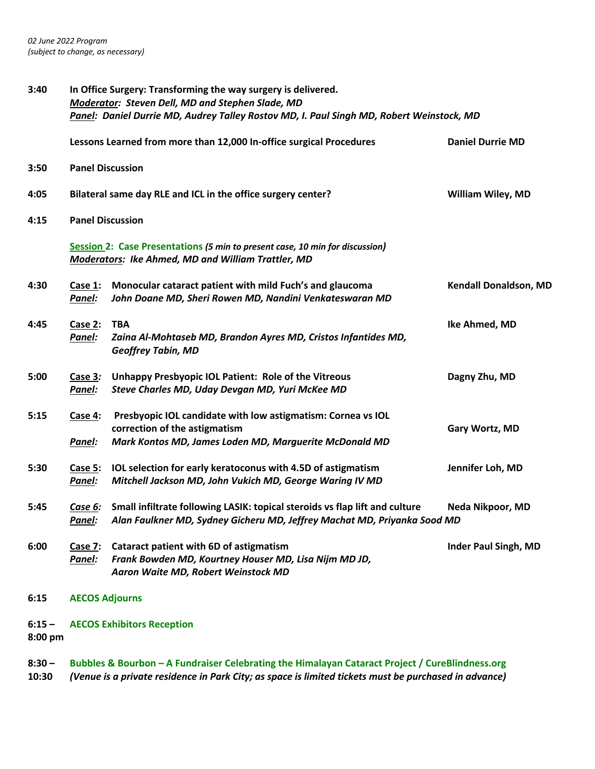| 3:40                | In Office Surgery: Transforming the way surgery is delivered.<br>Moderator: Steven Dell, MD and Stephen Slade, MD<br>Panel: Daniel Durrie MD, Audrey Talley Rostov MD, I. Paul Singh MD, Robert Weinstock, MD |                                                                                                                                                         |                              |  |  |
|---------------------|---------------------------------------------------------------------------------------------------------------------------------------------------------------------------------------------------------------|---------------------------------------------------------------------------------------------------------------------------------------------------------|------------------------------|--|--|
|                     |                                                                                                                                                                                                               | Lessons Learned from more than 12,000 In-office surgical Procedures                                                                                     | <b>Daniel Durrie MD</b>      |  |  |
| 3:50                | <b>Panel Discussion</b>                                                                                                                                                                                       |                                                                                                                                                         |                              |  |  |
| 4:05                | Bilateral same day RLE and ICL in the office surgery center?<br><b>William Wiley, MD</b>                                                                                                                      |                                                                                                                                                         |                              |  |  |
| 4:15                |                                                                                                                                                                                                               | <b>Panel Discussion</b>                                                                                                                                 |                              |  |  |
|                     | Session 2: Case Presentations (5 min to present case, 10 min for discussion)<br><b>Moderators: Ike Ahmed, MD and William Trattler, MD</b>                                                                     |                                                                                                                                                         |                              |  |  |
| 4:30                | Case 1:<br>Panel:                                                                                                                                                                                             | Monocular cataract patient with mild Fuch's and glaucoma<br>John Doane MD, Sheri Rowen MD, Nandini Venkateswaran MD                                     | <b>Kendall Donaldson, MD</b> |  |  |
| 4:45                | Case $2:$<br>Panel:                                                                                                                                                                                           | <b>TBA</b><br>Zaina Al-Mohtaseb MD, Brandon Ayres MD, Cristos Infantides MD,<br><b>Geoffrey Tabin, MD</b>                                               | Ike Ahmed, MD                |  |  |
| 5:00                | Case 3:<br>Panel:                                                                                                                                                                                             | <b>Unhappy Presbyopic IOL Patient: Role of the Vitreous</b><br>Steve Charles MD, Uday Devgan MD, Yuri McKee MD                                          | Dagny Zhu, MD                |  |  |
| 5:15                | Case 4:<br>Panel:                                                                                                                                                                                             | Presbyopic IOL candidate with low astigmatism: Cornea vs IOL<br>correction of the astigmatism<br>Mark Kontos MD, James Loden MD, Marguerite McDonald MD | Gary Wortz, MD               |  |  |
| 5:30                | Case 5:<br>Panel:                                                                                                                                                                                             | IOL selection for early keratoconus with 4.5D of astigmatism<br>Mitchell Jackson MD, John Vukich MD, George Waring IV MD                                | Jennifer Loh, MD             |  |  |
| 5:45                | Case 6:<br>Panel:                                                                                                                                                                                             | Small infiltrate following LASIK: topical steroids vs flap lift and culture<br>Alan Faulkner MD, Sydney Gicheru MD, Jeffrey Machat MD, Priyanka Sood MD | Neda Nikpoor, MD             |  |  |
| 6:00                | Case 7:<br>Panel:                                                                                                                                                                                             | Cataract patient with 6D of astigmatism<br>Frank Bowden MD, Kourtney Houser MD, Lisa Nijm MD JD,<br>Aaron Waite MD, Robert Weinstock MD                 | <b>Inder Paul Singh, MD</b>  |  |  |
| 6:15                | <b>AECOS Adjourns</b>                                                                                                                                                                                         |                                                                                                                                                         |                              |  |  |
| $6:15 -$<br>8:00 pm |                                                                                                                                                                                                               | <b>AECOS Exhibitors Reception</b>                                                                                                                       |                              |  |  |

**8:30 – Bubbles & Bourbon – A Fundraiser Celebrating the Himalayan Cataract Project / CureBlindness.org 10:30** *(Venue is a private residence in Park City; as space is limited tickets must be purchased in advance)*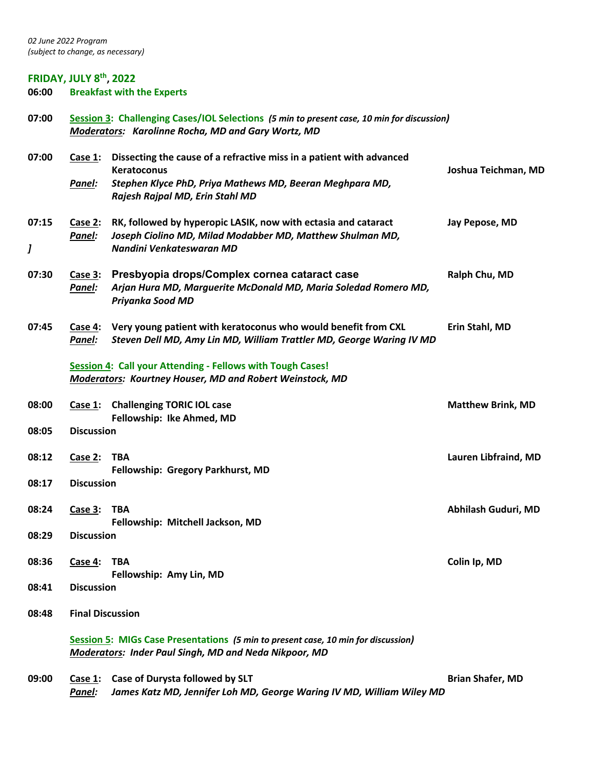# **FRIDAY, JULY 8<sup>th</sup>, 2022**<br>06:00 Breakfast with

**06:00 Breakfast with the Experts**

| 07:00      | Session 3: Challenging Cases/IOL Selections (5 min to present case, 10 min for discussion)<br>Moderators: Karolinne Rocha, MD and Gary Wortz, MD |                                                                                                                                                         |                          |
|------------|--------------------------------------------------------------------------------------------------------------------------------------------------|---------------------------------------------------------------------------------------------------------------------------------------------------------|--------------------------|
| 07:00      | Case 1:                                                                                                                                          | Dissecting the cause of a refractive miss in a patient with advanced<br>Keratoconus                                                                     | Joshua Teichman, MD      |
|            | Panel:                                                                                                                                           | Stephen Klyce PhD, Priya Mathews MD, Beeran Meghpara MD,<br>Rajesh Rajpal MD, Erin Stahl MD                                                             |                          |
| 07:15<br>J | Case 2:<br>Panel:                                                                                                                                | RK, followed by hyperopic LASIK, now with ectasia and cataract<br>Joseph Ciolino MD, Milad Modabber MD, Matthew Shulman MD,<br>Nandini Venkateswaran MD | Jay Pepose, MD           |
| 07:30      | Case 3:<br>Panel:                                                                                                                                | Presbyopia drops/Complex cornea cataract case<br>Arjan Hura MD, Marguerite McDonald MD, Maria Soledad Romero MD,<br>Priyanka Sood MD                    | Ralph Chu, MD            |
| 07:45      | Case 4:<br>Panel:                                                                                                                                | Very young patient with keratoconus who would benefit from CXL<br>Steven Dell MD, Amy Lin MD, William Trattler MD, George Waring IV MD                  | Erin Stahl, MD           |
|            |                                                                                                                                                  | Session 4: Call your Attending - Fellows with Tough Cases!<br>Moderators: Kourtney Houser, MD and Robert Weinstock, MD                                  |                          |
| 08:00      | Case 1:                                                                                                                                          | <b>Challenging TORIC IOL case</b><br>Fellowship: Ike Ahmed, MD                                                                                          | <b>Matthew Brink, MD</b> |
| 08:05      | <b>Discussion</b>                                                                                                                                |                                                                                                                                                         |                          |
| 08:12      | Case 2:                                                                                                                                          | <b>TBA</b><br>Fellowship: Gregory Parkhurst, MD                                                                                                         | Lauren Libfraind, MD     |
| 08:17      | <b>Discussion</b>                                                                                                                                |                                                                                                                                                         |                          |
| 08:24      | Case 3:                                                                                                                                          | TBA<br>Fellowship: Mitchell Jackson, MD                                                                                                                 | Abhilash Guduri, MD      |
| 08:29      | <b>Discussion</b>                                                                                                                                |                                                                                                                                                         |                          |
| 08:36      | Case 4:                                                                                                                                          | <b>TBA</b><br>Fellowship: Amy Lin, MD                                                                                                                   | Colin Ip, MD             |
| 08:41      | <b>Discussion</b>                                                                                                                                |                                                                                                                                                         |                          |
| 08:48      | <b>Final Discussion</b>                                                                                                                          |                                                                                                                                                         |                          |
|            |                                                                                                                                                  | Session 5: MIGs Case Presentations (5 min to present case, 10 min for discussion)<br><b>Moderators: Inder Paul Singh, MD and Neda Nikpoor, MD</b>       |                          |
| 09:00      |                                                                                                                                                  | Case 1: Case of Durysta followed by SLT                                                                                                                 | <b>Brian Shafer, MD</b>  |

*Panel: James Katz MD, Jennifer Loh MD, George Waring IV MD, William Wiley MD*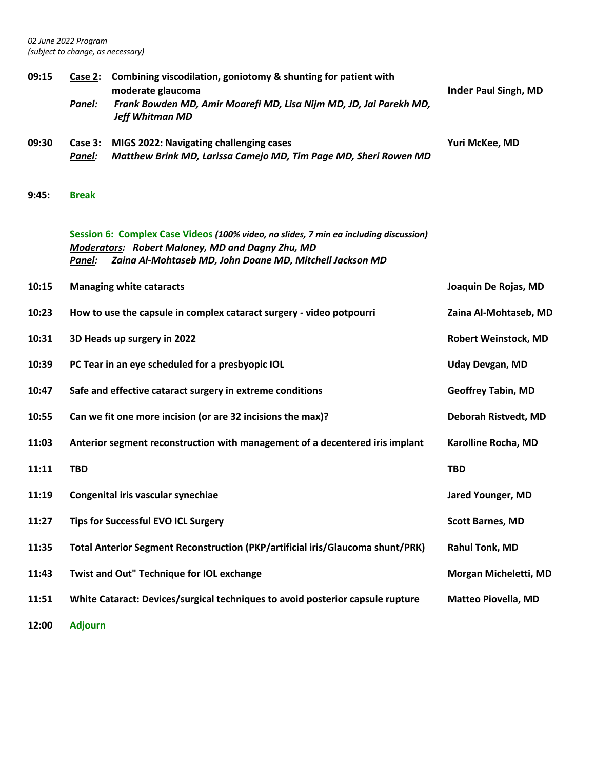*02 June 2022 Program (subject to change, as necessary)*

| 09:15 | Case 2:<br>Panel: | Combining viscodilation, goniotomy & shunting for patient with<br>moderate glaucoma<br>Frank Bowden MD, Amir Moarefi MD, Lisa Nijm MD, JD, Jai Parekh MD,<br><b>Jeff Whitman MD</b>                   | <b>Inder Paul Singh, MD</b> |
|-------|-------------------|-------------------------------------------------------------------------------------------------------------------------------------------------------------------------------------------------------|-----------------------------|
| 09:30 | Case 3:<br>Panel: | MIGS 2022: Navigating challenging cases<br>Matthew Brink MD, Larissa Camejo MD, Tim Page MD, Sheri Rowen MD                                                                                           | Yuri McKee, MD              |
| 9:45: | <b>Break</b>      |                                                                                                                                                                                                       |                             |
|       | Panel:            | Session 6: Complex Case Videos (100% video, no slides, 7 min ea including discussion)<br>Moderators: Robert Maloney, MD and Dagny Zhu, MD<br>Zaina Al-Mohtaseb MD, John Doane MD, Mitchell Jackson MD |                             |
| 10:15 |                   | <b>Managing white cataracts</b>                                                                                                                                                                       | Joaquin De Rojas, MD        |
| 10:23 |                   | How to use the capsule in complex cataract surgery - video potpourri                                                                                                                                  | Zaina Al-Mohtaseb, MD       |
| 10:31 |                   | 3D Heads up surgery in 2022                                                                                                                                                                           | <b>Robert Weinstock, MD</b> |
| 10:39 |                   | PC Tear in an eye scheduled for a presbyopic IOL                                                                                                                                                      | <b>Uday Devgan, MD</b>      |
| 10:47 |                   | Safe and effective cataract surgery in extreme conditions                                                                                                                                             | <b>Geoffrey Tabin, MD</b>   |
| 10:55 |                   | Can we fit one more incision (or are 32 incisions the max)?                                                                                                                                           | Deborah Ristvedt, MD        |
| 11:03 |                   | Anterior segment reconstruction with management of a decentered iris implant                                                                                                                          | Karolline Rocha, MD         |
| 11:11 | <b>TBD</b>        |                                                                                                                                                                                                       | <b>TBD</b>                  |
| 11:19 |                   | Congenital iris vascular synechiae                                                                                                                                                                    | <b>Jared Younger, MD</b>    |
| 11:27 |                   | <b>Tips for Successful EVO ICL Surgery</b>                                                                                                                                                            | <b>Scott Barnes, MD</b>     |
| 11:35 |                   | Total Anterior Segment Reconstruction (PKP/artificial iris/Glaucoma shunt/PRK)                                                                                                                        | <b>Rahul Tonk, MD</b>       |
| 11:43 |                   | Twist and Out" Technique for IOL exchange                                                                                                                                                             | Morgan Micheletti, MD       |
| 11:51 |                   | White Cataract: Devices/surgical techniques to avoid posterior capsule rupture                                                                                                                        | <b>Matteo Piovella, MD</b>  |
| 12:00 | <b>Adjourn</b>    |                                                                                                                                                                                                       |                             |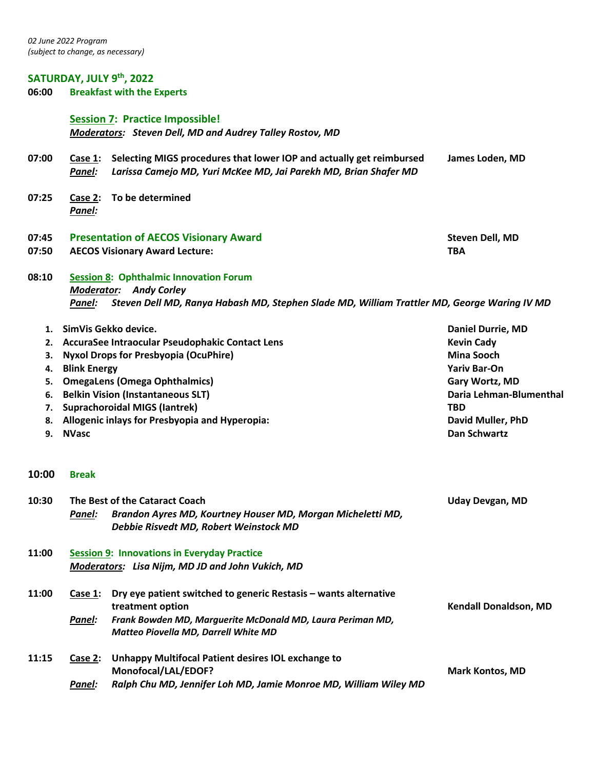# **SATURDAY, JULY 9<sup>th</sup>, 2022**<br>06:00 Breakfast with the I

**06:00 Breakfast with the Experts**

### **Session 7: Practice Impossible!**  *Moderators: Steven Dell, MD and Audrey Talley Rostov, MD*

| 07:00    | Case 1:<br>Panel:                                  | Selecting MIGS procedures that lower IOP and actually get reimbursed<br>Larissa Camejo MD, Yuri McKee MD, Jai Parekh MD, Brian Shafer MD | James Loden, MD                 |
|----------|----------------------------------------------------|------------------------------------------------------------------------------------------------------------------------------------------|---------------------------------|
| 07:25    | Case 2:<br>Panel:                                  | To be determined                                                                                                                         |                                 |
| 07:45    |                                                    | <b>Presentation of AECOS Visionary Award</b>                                                                                             | <b>Steven Dell, MD</b>          |
| 07:50    |                                                    | <b>AECOS Visionary Award Lecture:</b>                                                                                                    | <b>TBA</b>                      |
| 08:10    |                                                    | <b>Session 8: Ophthalmic Innovation Forum</b>                                                                                            |                                 |
|          | <b>Moderator: Andy Corley</b>                      |                                                                                                                                          |                                 |
|          | Panel:                                             | Steven Dell MD, Ranya Habash MD, Stephen Slade MD, William Trattler MD, George Waring IV MD                                              |                                 |
| 1.       |                                                    | SimVis Gekko device.                                                                                                                     | <b>Daniel Durrie, MD</b>        |
| 2.       |                                                    | AccuraSee Intraocular Pseudophakic Contact Lens                                                                                          | <b>Kevin Cady</b>               |
| 3.       |                                                    | <b>Nyxol Drops for Presbyopia (OcuPhire)</b>                                                                                             | <b>Mina Sooch</b>               |
| 4.       | <b>Blink Energy</b>                                |                                                                                                                                          | <b>Yariv Bar-On</b>             |
| 5.       |                                                    | <b>OmegaLens (Omega Ophthalmics)</b>                                                                                                     | Gary Wortz, MD                  |
| 6.       |                                                    | <b>Belkin Vision (Instantaneous SLT)</b>                                                                                                 | Daria Lehman-Blumenthal         |
| 7.<br>8. |                                                    | <b>Suprachoroidal MIGS (lantrek)</b><br><b>Allogenic inlays for Presbyopia and Hyperopia:</b>                                            | <b>TBD</b><br>David Muller, PhD |
| 9.       | <b>NVasc</b>                                       |                                                                                                                                          | <b>Dan Schwartz</b>             |
|          |                                                    |                                                                                                                                          |                                 |
| 10:00    | <b>Break</b>                                       |                                                                                                                                          |                                 |
| 10:30    |                                                    | The Best of the Cataract Coach                                                                                                           | <b>Uday Devgan, MD</b>          |
|          | Panel:                                             | Brandon Ayres MD, Kourtney Houser MD, Morgan Micheletti MD,<br>Debbie Risvedt MD, Robert Weinstock MD                                    |                                 |
| 11:00    | <b>Session 9: Innovations in Everyday Practice</b> |                                                                                                                                          |                                 |
|          |                                                    | Moderators: Lisa Nijm, MD JD and John Vukich, MD                                                                                         |                                 |
| 11:00    | Case $1$ :                                         | Dry eye patient switched to generic Restasis - wants alternative                                                                         |                                 |
|          |                                                    | treatment option                                                                                                                         | <b>Kendall Donaldson, MD</b>    |
|          | Panel:                                             | Frank Bowden MD, Marguerite McDonald MD, Laura Periman MD,<br>Matteo Piovella MD, Darrell White MD                                       |                                 |
| 11:15    | Case 2:                                            | <b>Unhappy Multifocal Patient desires IOL exchange to</b>                                                                                |                                 |
|          |                                                    | Monofocal/LAL/EDOF?                                                                                                                      | <b>Mark Kontos, MD</b>          |
|          | Panel:                                             | Ralph Chu MD, Jennifer Loh MD, Jamie Monroe MD, William Wiley MD                                                                         |                                 |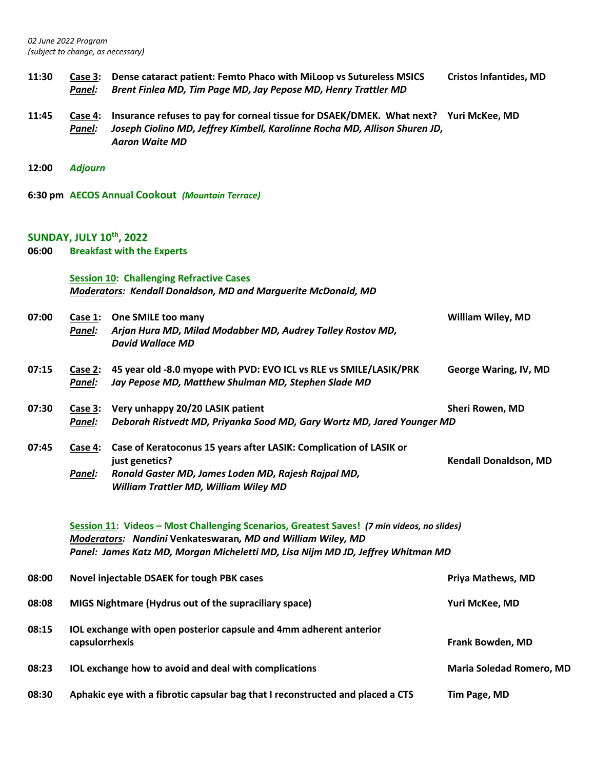**11:30 Case 3: Dense cataract patient: Femto Phaco with MiLoop vs Sutureless MSICS Cristos Infantides, MD** *Panel: Brent Finlea MD, Tim Page MD, Jay Pepose MD, Henry Trattler MD* **11:45 Case 4: Insurance refuses to pay for corneal tissue for DSAEK/DMEK. What next? Yuri McKee, MD** *Panel: Joseph Ciolino MD, Jeffrey Kimbell, Karolinne Rocha MD, Allison Shuren JD, Aaron Waite MD* **12:00** *Adjourn* **6:30 pm AECOS Annual Cookout** *(Mountain Terrace)* **SUNDAY, JULY 10th, 2022 06:00 Breakfast with the Experts Session 10: Challenging Refractive Cases** *Moderators: Kendall Donaldson, MD and Marguerite McDonald, MD* **07:00 Case 1: One SMILE too many William Wiley, MD** *Panel: Arjan Hura MD, Milad Modabber MD, Audrey Talley Rostov MD, David Wallace MD* **07:15 Case 2: 45 year old -8.0 myope with PVD: EVO ICL vs RLE vs SMILE/LASIK/PRK George Waring, IV, MD** *Panel: Jay Pepose MD, Matthew Shulman MD, Stephen Slade MD* **07:30 Case 3:** Very unhappy 20/20 LASIK patient Sheri Rowen, MD *Panel: Deborah Ristvedt MD, Priyanka Sood MD, Gary Wortz MD, Jared Younger MD* **07:45 Case 4: Case of Keratoconus 15 years after LASIK: Complication of LASIK or just genetics? Kendall Donaldson, MD** *Panel: Ronald Gaster MD, James Loden MD, Rajesh Rajpal MD, William Trattler MD, William Wiley MD* **Session 11: Videos – Most Challenging Scenarios, Greatest Saves!** *(7 min videos, no slides) Moderators: Nandini* **Venkateswaran***, MD and William Wiley, MD Panel: James Katz MD, Morgan Micheletti MD, Lisa Nijm MD JD, Jeffrey Whitman MD* **08:00 Novel injectable DSAEK for tough PBK cases Priya Mathews, MD 08:08 MIGS Nightmare (Hydrus out of the supraciliary space) Yuri McKee, MD 08:15 IOL exchange with open posterior capsule and 4mm adherent anterior capsulorrhexis Frank Bowden, MD 08:23 IOL exchange how to avoid and deal with complications Maria Soledad Romero, MD 08:30 Aphakic eye with a fibrotic capsular bag that I reconstructed and placed a CTS Tim Page, MD**